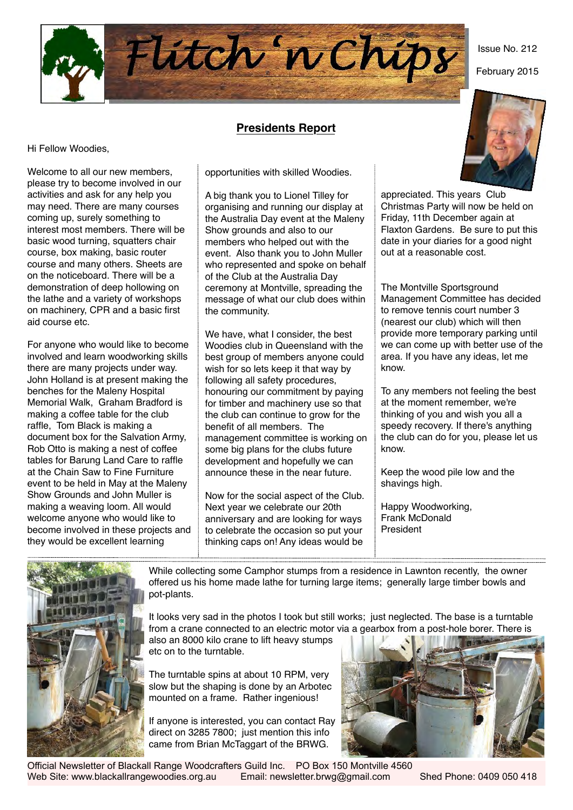

### **Presidents Report**

Hi Fellow Woodies,

Welcome to all our new members, please try to become involved in our activities and ask for any help you may need. There are many courses coming up, surely something to interest most members. There will be basic wood turning, squatters chair course, box making, basic router course and many others. Sheets are on the noticeboard. There will be a demonstration of deep hollowing on the lathe and a variety of workshops on machinery, CPR and a basic first aid course etc.

For anyone who would like to become involved and learn woodworking skills there are many projects under way. John Holland is at present making the benches for the Maleny Hospital Memorial Walk, Graham Bradford is making a coffee table for the club raffle, Tom Black is making a document box for the Salvation Army, Rob Otto is making a nest of coffee tables for Barung Land Care to raffle at the Chain Saw to Fine Furniture event to be held in May at the Maleny Show Grounds and John Muller is making a weaving loom. All would welcome anyone who would like to become involved in these projects and they would be excellent learning

opportunities with skilled Woodies.

A big thank you to Lionel Tilley for organising and running our display at the Australia Day event at the Maleny Show grounds and also to our members who helped out with the event. Also thank you to John Muller who represented and spoke on behalf of the Club at the Australia Day ceremony at Montville, spreading the message of what our club does within the community.

We have, what I consider, the best Woodies club in Queensland with the best group of members anyone could wish for so lets keep it that way by following all safety procedures, honouring our commitment by paying for timber and machinery use so that the club can continue to grow for the benefit of all members. The management committee is working on some big plans for the clubs future development and hopefully we can announce these in the near future.

Now for the social aspect of the Club. Next year we celebrate our 20th anniversary and are looking for ways to celebrate the occasion so put your thinking caps on! Any ideas would be



Issue No. 212

February 2015

appreciated. This years Club Christmas Party will now be held on Friday, 11th December again at Flaxton Gardens. Be sure to put this date in your diaries for a good night out at a reasonable cost.

The Montville Sportsground Management Committee has decided to remove tennis court number 3 (nearest our club) which will then provide more temporary parking until we can come up with better use of the area. If you have any ideas, let me know.

To any members not feeling the best at the moment remember, we're thinking of you and wish you all a speedy recovery. If there's anything the club can do for you, please let us know.

Keep the wood pile low and the shavings high.

Happy Woodworking, Frank McDonald President



While collecting some Camphor stumps from a residence in Lawnton recently, the owner offered us his home made lathe for turning large items; generally large timber bowls and pot-plants.

It looks very sad in the photos I took but still works; just neglected. The base is a turntable from a crane connected to an electric motor via a gearbox from a post-hole borer. There is

also an 8000 kilo crane to lift heavy stumps etc on to the turntable.

The turntable spins at about 10 RPM, very slow but the shaping is done by an Arbotec mounted on a frame. Rather ingenious!

If anyone is interested, you can contact Ray direct on 3285 7800; just mention this info came from Brian McTaggart of the BRWG.



Official Newsletter of Blackall Range Woodcrafters Guild Inc. PO Box 150 Montville 4560 Web Site: www.blackallrangewoodies.org.au Email: newsletter.brwg@gmail.com Shed Phone: 0409 050 418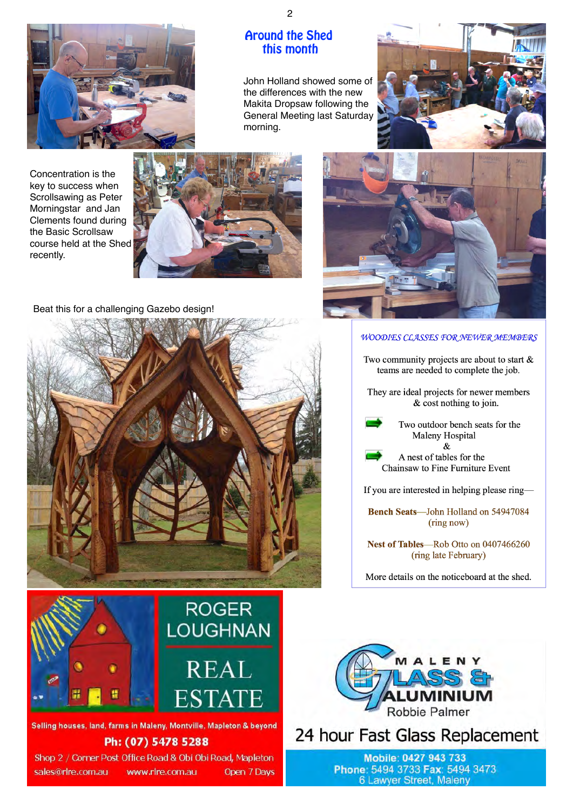

## Around the Shed this month

John Holland showed some of the differences with the new Makita Dropsaw following the General Meeting last Saturday morning.



Concentration is the key to success when Scrollsawing as Peter Morningstar and Jan Clements found during the Basic Scrollsaw course held at the Shed recently.



Beat this for a challenging Gazebo design!



#### **WOODIES CLASSES FOR NEWER MEMBERS**

Two community projects are about to start  $\&$ teams are needed to complete the job.

They are ideal projects for newer members & cost nothing to join.

> Two outdoor bench seats for the Maleny Hospital  $\mathcal{R}$

A nest of tables for the Chainsaw to Fine Furniture Event

If you are interested in helping please ring—

Bench Seats-John Holland on 54947084 (ring now)

Nest of Tables-Rob Otto on 0407466260 (ring late February)

More details on the noticeboard at the shed.



Selling houses, land, farms in Maleny, Montville, Mapleton & beyond

## Ph: (07) 5478 5288

Shop 2 / Corner Post Office Road & Obi Obi Road, Mapleton sales@rlre.com.au www.rlre.com.au Open 7 Days



24 hour Fast Glass Replacement

Mobile: 0427 943 733 Phone: 5494 3733 Fax: 5494 3473 **6 Lawyer Street, Maleny**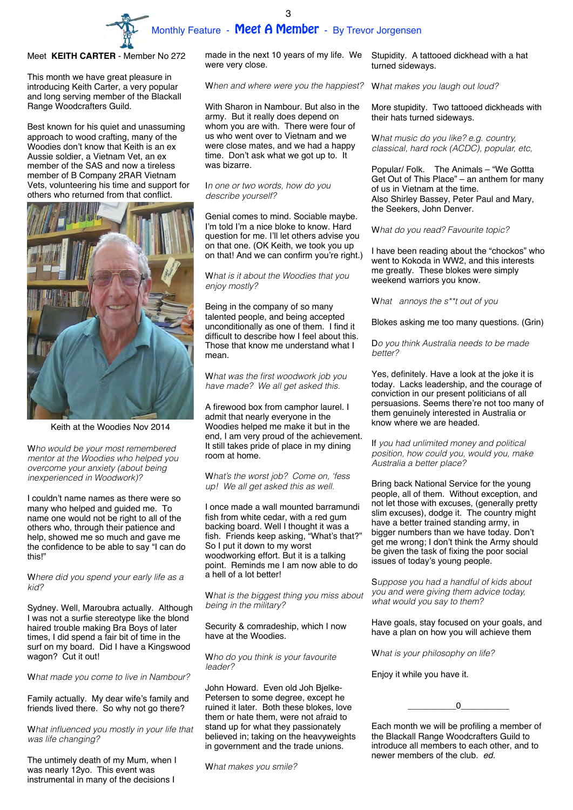

### Meet **KEITH CARTER** - Member No 272

This month we have great pleasure in introducing Keith Carter, a very popular and long serving member of the Blackall Range Woodcrafters Guild.

Best known for his quiet and unassuming approach to wood crafting, many of the Woodies don't know that Keith is an ex Aussie soldier, a Vietnam Vet, an ex member of the SAS and now a tireless member of B Company 2RAR Vietnam Vets, volunteering his time and support for others who returned from that conflict.



Keith at the Woodies Nov 2014

W*ho would be your most remembered mentor at the Woodies who helped you overcome your anxiety (about being inexperienced in Woodwork)?*

I couldn't name names as there were so many who helped and guided me. To name one would not be right to all of the others who, through their patience and help, showed me so much and gave me the confidence to be able to say "I can do this!"

W*here did you spend your early life as a kid?*

Sydney. Well, Maroubra actually. Although I was not a surfie stereotype like the blond haired trouble making Bra Boys of later times, I did spend a fair bit of time in the surf on my board. Did I have a Kingswood wagon? Cut it out!

W*hat made you come to live in Nambour?*

Family actually. My dear wife's family and friends lived there. So why not go there?

W*hat influenced you mostly in your life that was life changing?* 

The untimely death of my Mum, when I was nearly 12yo. This event was instrumental in many of the decisions I

made in the next 10 years of my life. We Stupidity. A tattooed dickhead with a hat were very close.

W*hen and where were you the happiest?*

With Sharon in Nambour. But also in the army. But it really does depend on whom you are with. There were four of us who went over to Vietnam and we were close mates, and we had a happy time. Don't ask what we got up to. It was bizarre.

### I*n one or two words, how do you describe yourself?*

Genial comes to mind. Sociable maybe. I'm told I'm a nice bloke to know. Hard question for me. I'll let others advise you on that one. (OK Keith, we took you up on that! And we can confirm you're right.)

### W*hat is it about the Woodies that you enjoy mostly?*

Being in the company of so many talented people, and being accepted unconditionally as one of them. I find it difficult to describe how I feel about this. Those that know me understand what I mean.

W*hat was the first woodwork job you have made? We all get asked this.* 

A firewood box from camphor laurel. I admit that nearly everyone in the Woodies helped me make it but in the end, I am very proud of the achievement. It still takes pride of place in my dining room at home.

W*hat's the worst job? Come on, 'fess up! We all get asked this as well.*

I once made a wall mounted barramundi fish from white cedar, with a red gum backing board. Well I thought it was a fish. Friends keep asking, "What's that?" So I put it down to my worst woodworking effort. But it is a talking point. Reminds me I am now able to do a hell of a lot better!

W*hat is the biggest thing you miss about being in the military?*

Security & comradeship, which I now have at the Woodies.

W*ho do you think is your favourite leader?*

John Howard. Even old Joh Bjelke-Petersen to some degree, except he ruined it later. Both these blokes, love them or hate them, were not afraid to stand up for what they passionately believed in; taking on the heavyweights in government and the trade unions.

W*hat makes you smile?* 

turned sideways.

W*hat makes you laugh out loud?* 

More stupidity. Two tattooed dickheads with their hats turned sideways.

W*hat music do you like? e.g. country, classical, hard rock (ACDC), popular, etc,*

Popular/ Folk. The Animals – "We Gottta Get Out of This Place" – an anthem for many of us in Vietnam at the time. Also Shirley Bassey, Peter Paul and Mary, the Seekers, John Denver.

#### W*hat do you read? Favourite topic?*

I have been reading about the "chockos" who went to Kokoda in WW2, and this interests me greatly. These blokes were simply weekend warriors you know.

W*hat annoys the s\*\*t out of you* 

Blokes asking me too many questions. (Grin)

D*o you think Australia needs to be made better?*

Yes, definitely. Have a look at the joke it is today. Lacks leadership, and the courage of conviction in our present politicians of all persuasions. Seems there're not too many of them genuinely interested in Australia or know where we are headed.

If *you had unlimited money and political position, how could you, would you, make Australia a better place?* 

Bring back National Service for the young people, all of them. Without exception, and not let those with excuses, (generally pretty slim excuses), dodge it. The country might have a better trained standing army, in bigger numbers than we have today. Don't get me wrong; I don't think the Army should be given the task of fixing the poor social issues of today's young people.

S*uppose you had a handful of kids about you and were giving them advice today, what would you say to them?*

Have goals, stay focused on your goals, and have a plan on how you will achieve them

W*hat is your philosophy on life?*

Enjoy it while you have it.

 $\overline{0}$ 

Each month we will be profiling a member of the Blackall Range Woodcrafters Guild to introduce all members to each other, and to newer members of the club. *ed.*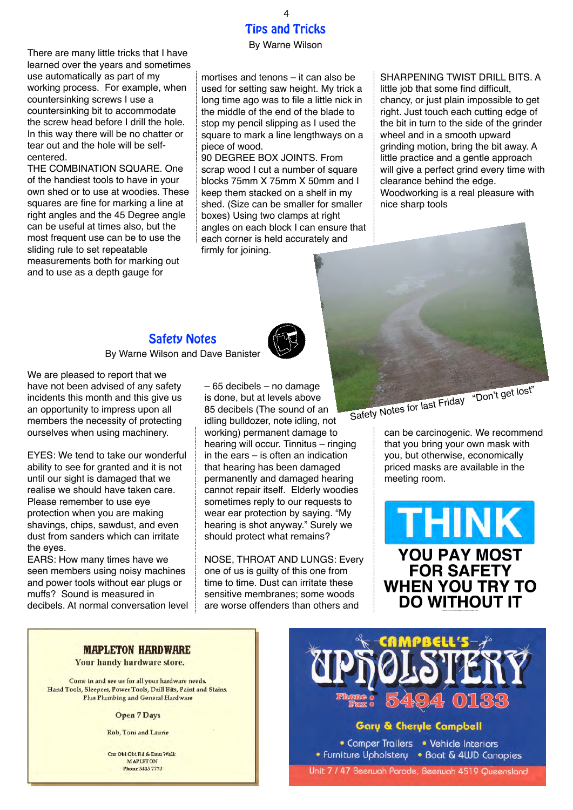There are many little tricks that I have learned over the years and sometimes use automatically as part of my working process. For example, when countersinking screws I use a countersinking bit to accommodate the screw head before I drill the hole. In this way there will be no chatter or tear out and the hole will be selfcentered.

THE COMBINATION SQUARE. One of the handiest tools to have in your own shed or to use at woodies. These squares are fine for marking a line at right angles and the 45 Degree angle can be useful at times also, but the most frequent use can be to use the sliding rule to set repeatable measurements both for marking out and to use as a depth gauge for

### Tips and Tricks By Warne Wilson 4

mortises and tenons – it can also be used for setting saw height. My trick a long time ago was to file a little nick in the middle of the end of the blade to stop my pencil slipping as I used the square to mark a line lengthways on a piece of wood.

90 DEGREE BOX JOINTS. From scrap wood I cut a number of square blocks 75mm X 75mm X 50mm and I keep them stacked on a shelf in my shed. (Size can be smaller for smaller boxes) Using two clamps at right angles on each block I can ensure that each corner is held accurately and firmly for joining.

SHARPENING TWIST DRILL BITS. A little job that some find difficult, chancy, or just plain impossible to get right. Just touch each cutting edge of the bit in turn to the side of the grinder wheel and in a smooth upward grinding motion, bring the bit away. A little practice and a gentle approach will give a perfect grind every time with clearance behind the edge. Woodworking is a real pleasure with nice sharp tools



Safety Notes By Warne Wilson and Dave Banister



We are pleased to report that we have not been advised of any safety incidents this month and this give us an opportunity to impress upon all members the necessity of protecting

EYES: We tend to take our wonderful ability to see for granted and it is not until our sight is damaged that we realise we should have taken care. Please remember to use eye protection when you are making shavings, chips, sawdust, and even dust from sanders which can irritate the eyes.

ourselves when using machinery.

EARS: How many times have we seen members using noisy machines and power tools without ear plugs or muffs? Sound is measured in decibels. At normal conversation level – 65 decibels – no damage is done, but at levels above 85 decibels (The sound of an idling bulldozer, note idling, not working) permanent damage to hearing will occur. Tinnitus – ringing in the ears – is often an indication that hearing has been damaged permanently and damaged hearing cannot repair itself. Elderly woodies sometimes reply to our requests to wear ear protection by saying. "My hearing is shot anyway." Surely we should protect what remains?

NOSE, THROAT AND LUNGS: Every one of us is guilty of this one from time to time. Dust can irritate these sensitive membranes; some woods are worse offenders than others and

can be carcinogenic. We recommend that you bring your own mask with you, but otherwise, economically priced masks are available in the meeting room.

**THINK YOU PAY MOST FOR SAFETY WHEN YOU TRY TO DO WITHOUT IT** 

### **MAPLETON HARDWARE**

Your handy hardware store.

Come in and see us for all your hardware needs. Hand Tools, Sleepers, Power Tools, Drill Bits, Paint and Stains. Plus Plumbing and General Hardware

**Open 7 Days** 

Rob, Toni and Laurie

Cur Obi Obi Rd & Emu Walk MAPLETON Phone 5445 7773



### **Gary & Cheryle Campbell**

• Comper Trailers • Vehicle Interiors • Furniture Upholstery • Boat & 4WD Canopies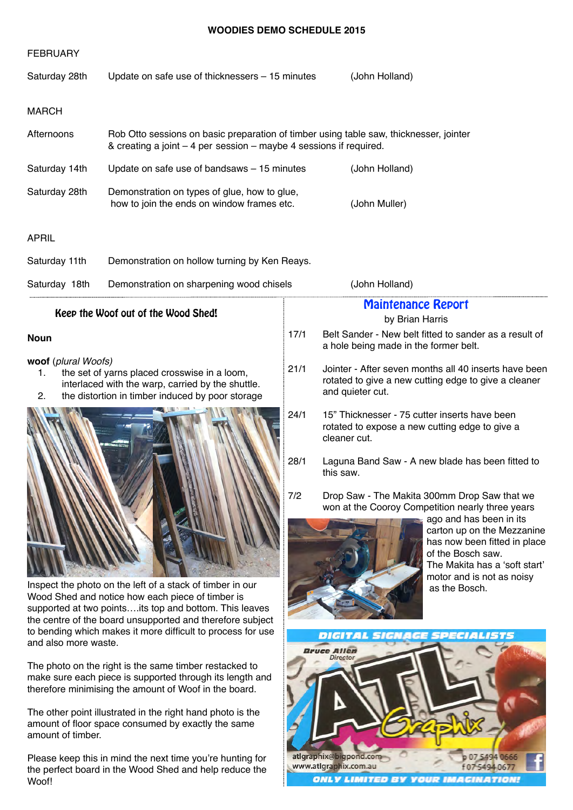### **WOODIES DEMO SCHEDULE 2015**

|                                 | WUUDILS DEMU SUNEDULE ZUIJ                                                                                                                                                                                                                                                                          |                                                                                                                                           |                                                                                                                                                                                                                                                 |  |  |  |  |
|---------------------------------|-----------------------------------------------------------------------------------------------------------------------------------------------------------------------------------------------------------------------------------------------------------------------------------------------------|-------------------------------------------------------------------------------------------------------------------------------------------|-------------------------------------------------------------------------------------------------------------------------------------------------------------------------------------------------------------------------------------------------|--|--|--|--|
| <b>FEBRUARY</b>                 |                                                                                                                                                                                                                                                                                                     |                                                                                                                                           |                                                                                                                                                                                                                                                 |  |  |  |  |
| Saturday 28th                   | Update on safe use of thicknessers – 15 minutes                                                                                                                                                                                                                                                     | (John Holland)                                                                                                                            |                                                                                                                                                                                                                                                 |  |  |  |  |
| <b>MARCH</b>                    |                                                                                                                                                                                                                                                                                                     |                                                                                                                                           |                                                                                                                                                                                                                                                 |  |  |  |  |
| Afternoons                      | Rob Otto sessions on basic preparation of timber using table saw, thicknesser, jointer<br>& creating a joint – 4 per session – maybe 4 sessions if required.                                                                                                                                        |                                                                                                                                           |                                                                                                                                                                                                                                                 |  |  |  |  |
| Saturday 14th                   | Update on safe use of bandsaws - 15 minutes                                                                                                                                                                                                                                                         | (John Holland)                                                                                                                            |                                                                                                                                                                                                                                                 |  |  |  |  |
| Saturday 28th                   | Demonstration on types of glue, how to glue,<br>how to join the ends on window frames etc.                                                                                                                                                                                                          | (John Muller)                                                                                                                             |                                                                                                                                                                                                                                                 |  |  |  |  |
| <b>APRIL</b>                    |                                                                                                                                                                                                                                                                                                     |                                                                                                                                           |                                                                                                                                                                                                                                                 |  |  |  |  |
| Saturday 11th                   | Demonstration on hollow turning by Ken Reays.                                                                                                                                                                                                                                                       |                                                                                                                                           |                                                                                                                                                                                                                                                 |  |  |  |  |
| Saturday 18th                   | Demonstration on sharpening wood chisels                                                                                                                                                                                                                                                            |                                                                                                                                           | (John Holland)                                                                                                                                                                                                                                  |  |  |  |  |
|                                 | Keep the Woof out of the Wood Shed!                                                                                                                                                                                                                                                                 |                                                                                                                                           | <b>Maintenance Report</b>                                                                                                                                                                                                                       |  |  |  |  |
|                                 |                                                                                                                                                                                                                                                                                                     | by Brian Harris                                                                                                                           |                                                                                                                                                                                                                                                 |  |  |  |  |
| <b>Noun</b>                     |                                                                                                                                                                                                                                                                                                     | 17/1                                                                                                                                      | Belt Sander - New belt fitted to sander as a result of<br>a hole being made in the former belt.                                                                                                                                                 |  |  |  |  |
| woof (plural Woofs)<br>1.<br>2. | the set of yarns placed crosswise in a loom,<br>interlaced with the warp, carried by the shuttle.<br>the distortion in timber induced by poor storage                                                                                                                                               | 21/1<br>Jointer - After seven months all 40 inserts have been<br>rotated to give a new cutting edge to give a cleaner<br>and quieter cut. |                                                                                                                                                                                                                                                 |  |  |  |  |
|                                 |                                                                                                                                                                                                                                                                                                     | 24/1                                                                                                                                      | 15" Thicknesser - 75 cutter inserts have been<br>rotated to expose a new cutting edge to give a<br>cleaner cut.                                                                                                                                 |  |  |  |  |
|                                 |                                                                                                                                                                                                                                                                                                     | 28/1                                                                                                                                      | Laguna Band Saw - A new blade has been fitted to<br>this saw.                                                                                                                                                                                   |  |  |  |  |
|                                 |                                                                                                                                                                                                                                                                                                     | 7/2                                                                                                                                       | Drop Saw - The Makita 300mm Drop Saw that we<br>won at the Cooroy Competition nearly three years<br>ago and has been in its<br>carton up on the Mezzanine<br>has now been fitted in place<br>of the Bosch saw.<br>The Makita has a 'soft start' |  |  |  |  |
| and also more waste.            | Inspect the photo on the left of a stack of timber in our<br>Wood Shed and notice how each piece of timber is<br>supported at two pointsits top and bottom. This leaves<br>the centre of the board unsupported and therefore subject<br>to bending which makes it more difficult to process for use |                                                                                                                                           | motor and is not as noisy<br>as the Bosch.<br>DICITAL SIGNAGE SPECIALISTS                                                                                                                                                                       |  |  |  |  |
|                                 | The photo on the right is the same timber restacked to<br>make sure each piece is supported through its length and<br>therefore minimising the amount of Woof in the board.                                                                                                                         |                                                                                                                                           | <b>Bruce Allen</b><br><b>Director</b>                                                                                                                                                                                                           |  |  |  |  |
| amount of timber.               | The other point illustrated in the right hand photo is the<br>amount of floor space consumed by exactly the same                                                                                                                                                                                    |                                                                                                                                           |                                                                                                                                                                                                                                                 |  |  |  |  |

atlgraphix@bigpond.com<br>www.atlgraphix.com.au

p 07 5494 0666<br>f 07 5494 0677

**ONLY LIMITED BY YOUR IMAGINATION!** 

Please keep this in mind the next time you're hunting for the perfect board in the Wood Shed and help reduce the Woof!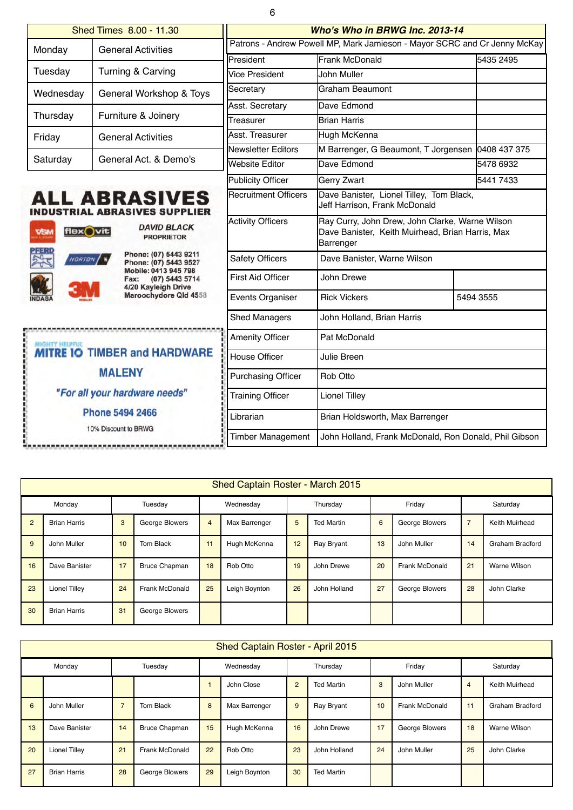| ٠<br>ı |          |
|--------|----------|
|        | ۰,<br>۰, |
|        |          |

|                         | Shed Times 8.00 - 11.30                                               | Who's Who in BRWG Inc. 2013-14                                            |                                                                                                                  |              |  |  |  |  |
|-------------------------|-----------------------------------------------------------------------|---------------------------------------------------------------------------|------------------------------------------------------------------------------------------------------------------|--------------|--|--|--|--|
| Monday                  | <b>General Activities</b>                                             | Patrons - Andrew Powell MP, Mark Jamieson - Mayor SCRC and Cr Jenny McKay |                                                                                                                  |              |  |  |  |  |
|                         |                                                                       | <b>President</b>                                                          | Frank McDonald                                                                                                   | 5435 2495    |  |  |  |  |
| Tuesday                 | Turning & Carving                                                     | Vice President                                                            | John Muller                                                                                                      |              |  |  |  |  |
| Wednesday               | General Workshop & Toys                                               | Secretary                                                                 | Graham Beaumont                                                                                                  |              |  |  |  |  |
| Thursday                | Furniture & Joinery                                                   | Asst. Secretary                                                           | Dave Edmond                                                                                                      |              |  |  |  |  |
|                         |                                                                       | Treasurer                                                                 | <b>Brian Harris</b>                                                                                              |              |  |  |  |  |
| Friday                  | <b>General Activities</b>                                             | Asst. Treasurer<br>Newsletter Editors                                     | Hugh McKenna                                                                                                     |              |  |  |  |  |
| Saturday                | General Act. & Demo's                                                 |                                                                           | M Barrenger, G Beaumont, T Jorgensen                                                                             | 0408 437 375 |  |  |  |  |
|                         |                                                                       | <b>Website Editor</b>                                                     | Dave Edmond                                                                                                      | 5478 6932    |  |  |  |  |
|                         |                                                                       | Publicity Officer                                                         | <b>Gerry Zwart</b>                                                                                               | 5441 7433    |  |  |  |  |
|                         | <b>ALL ABRASIVES</b><br>INDUSTRIAL ABRASIVES SUPPLIER                 | <b>Recruitment Officers</b>                                               | Dave Banister, Lionel Tilley, Tom Black,<br>Jeff Harrison, Frank McDonald                                        |              |  |  |  |  |
| flex Ovit<br><b>VSM</b> | <b>DAVID BLACK</b><br><b>PROPRIETOR</b>                               | <b>Activity Officers</b>                                                  | Ray Curry, John Drew, John Clarke, Warne Wilson<br>Dave Banister, Keith Muirhead, Brian Harris, Max<br>Barrenger |              |  |  |  |  |
| NORTON (%)              | Phone: (07) 5443 9211<br>Phone: (07) 5443 9527                        | <b>Safety Officers</b>                                                    | Dave Banister, Warne Wilson                                                                                      |              |  |  |  |  |
|                         | Mobile: 0413 945 798<br>(07) 5443 5714<br>Fax:<br>4/20 Kayleigh Drive | <b>First Aid Officer</b>                                                  | John Drewe                                                                                                       |              |  |  |  |  |
|                         | Maroochydore Qld 4558                                                 | <b>Events Organiser</b>                                                   | <b>Rick Vickers</b>                                                                                              | 5494 3555    |  |  |  |  |
|                         |                                                                       | Shed Managers                                                             | John Holland, Brian Harris                                                                                       |              |  |  |  |  |
| <b>AUGHTY HELPFUL</b>   |                                                                       | <b>Amenity Officer</b>                                                    | Pat McDonald                                                                                                     |              |  |  |  |  |
|                         | <b>MITRE IO TIMBER and HARDWARE</b>                                   | <b>House Officer</b>                                                      | Julie Breen                                                                                                      |              |  |  |  |  |
|                         | <b>MALENY</b>                                                         | <b>Purchasing Officer</b>                                                 | Rob Otto                                                                                                         |              |  |  |  |  |
|                         | "For all your hardware needs"                                         | <b>Training Officer</b>                                                   | <b>Lionel Tilley</b>                                                                                             |              |  |  |  |  |
|                         | <b>Phone 5494 2466</b><br>10% Discount to BRWG                        | Librarian                                                                 | Brian Holdsworth, Max Barrenger                                                                                  |              |  |  |  |  |
|                         |                                                                       | <b>Timber Management</b>                                                  | John Holland, Frank McDonald, Ron Donald, Phil Gibson                                                            |              |  |  |  |  |

| Shed Captain Roster - March 2015 |                      |         |                      |                |               |    |                   |    |                |                |                 |
|----------------------------------|----------------------|---------|----------------------|----------------|---------------|----|-------------------|----|----------------|----------------|-----------------|
| Monday                           |                      | Tuesday | Wednesday            |                | Thursday      |    | Friday            |    | Saturday       |                |                 |
| $\overline{2}$                   | <b>Brian Harris</b>  | 3       | George Blowers       | $\overline{4}$ | Max Barrenger | 5  | <b>Ted Martin</b> | 6  | George Blowers | $\overline{7}$ | Keith Muirhead  |
| 9                                | John Muller          | 10      | Tom Black            | 11             | Hugh McKenna  | 12 | <b>Ray Bryant</b> | 13 | John Muller    | 14             | Graham Bradford |
| 16                               | Dave Banister        | 17      | <b>Bruce Chapman</b> | 18             | Rob Otto      | 19 | John Drewe        | 20 | Frank McDonald | 21             | Warne Wilson    |
| 23                               | <b>Lionel Tilley</b> | 24      | Frank McDonald       | 25             | Leigh Boynton | 26 | John Holland      | 27 | George Blowers | 28             | John Clarke     |
| 30                               | <b>Brian Harris</b>  | 31      | George Blowers       |                |               |    |                   |    |                |                |                 |

| Shed Captain Roster - April 2015 |                      |                |                       |           |               |                |                   |        |                |                |                        |
|----------------------------------|----------------------|----------------|-----------------------|-----------|---------------|----------------|-------------------|--------|----------------|----------------|------------------------|
| Monday                           |                      | Tuesday        |                       | Wednesday |               | Thursday       |                   | Friday |                | Saturday       |                        |
|                                  |                      |                |                       |           | John Close    | $\overline{2}$ | <b>Ted Martin</b> | 3      | John Muller    | $\overline{4}$ | Keith Muirhead         |
| 6                                | John Muller          | $\overline{7}$ | Tom Black             | 8         | Max Barrenger | 9              | Ray Bryant        | 10     | Frank McDonald | 11             | <b>Graham Bradford</b> |
| 13                               | Dave Banister        | 14             | <b>Bruce Chapman</b>  | 15        | Hugh McKenna  | 16             | John Drewe        | 17     | George Blowers | 18             | Warne Wilson           |
| 20                               | <b>Lionel Tilley</b> | 21             | <b>Frank McDonald</b> | 22        | Rob Otto      | 23             | John Holland      | 24     | John Muller    | 25             | John Clarke            |
| 27                               | <b>Brian Harris</b>  | 28             | George Blowers        | 29        | Leigh Boynton | 30             | <b>Ted Martin</b> |        |                |                |                        |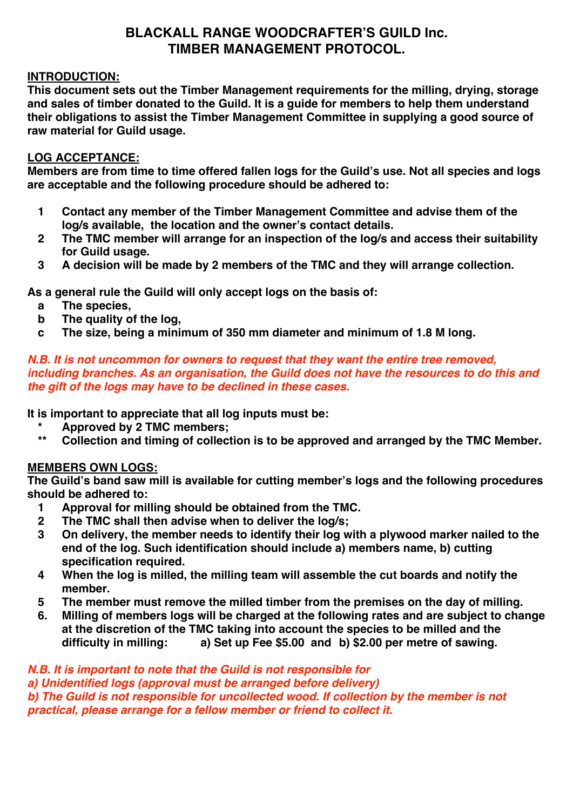# **BLACKALL RANGE WOODCRAFTER'S GUILD Inc. TIMBER MANAGEMENT PROTOCOL.**

## **INTRODUCTION:**

**This document sets out the Timber Management requirements for the milling, drying, storage and sales of timber donated to the Guild. It is a guide for members to help them understand their obligations to assist the Timber Management Committee in supplying a good source of raw material for Guild usage.**

## **LOG ACCEPTANCE:**

**Members are from time to time offered fallen logs for the Guild's use. Not all species and logs are acceptable and the following procedure should be adhered to:**

- **1 Contact any member of the Timber Management Committee and advise them of the log/s available, the location and the owner's contact details.**
- **2 The TMC member will arrange for an inspection of the log/s and access their suitability for Guild usage.**
- **3 A decision will be made by 2 members of the TMC and they will arrange collection.**

**As a general rule the Guild will only accept logs on the basis of:**

- **a The species,**
- **b The quality of the log,**
- **c The size, being a minimum of 350 mm diameter and minimum of 1.8 M long.**

## *N.B. It is not uncommon for owners to request that they want the entire tree removed, including branches. As an organisation, the Guild does not have the resources to do this and the gift of the logs may have to be declined in these cases.*

**It is important to appreciate that all log inputs must be:**

- **\* Approved by 2 TMC members;**
- **\*\* Collection and timing of collection is to be approved and arranged by the TMC Member.**

## **MEMBERS OWN LOGS:**

**The Guild's band saw mill is available for cutting member's logs and the following procedures should be adhered to:**

- **1 Approval for milling should be obtained from the TMC.**
- **2 The TMC shall then advise when to deliver the log/s;**
- **3 On delivery, the member needs to identify their log with a plywood marker nailed to the end of the log. Such identification should include a) members name, b) cutting specification required.**
- **4 When the log is milled, the milling team will assemble the cut boards and notify the member.**
- **5 The member must remove the milled timber from the premises on the day of milling.**
- **6. Milling of members logs will be charged at the following rates and are subject to change at the discretion of the TMC taking into account the species to be milled and the difficulty in milling: a) Set up Fee \$5.00 and b) \$2.00 per metre of sawing.**

### *N.B. It is important to note that the Guild is not responsible for*

*a) Unidentified logs (approval must be arranged before delivery)* **b)** The Guild is not responsible for uncollected wood. If collection by the member is not

*practical, please arrange for a fellow member or friend to collect it.*